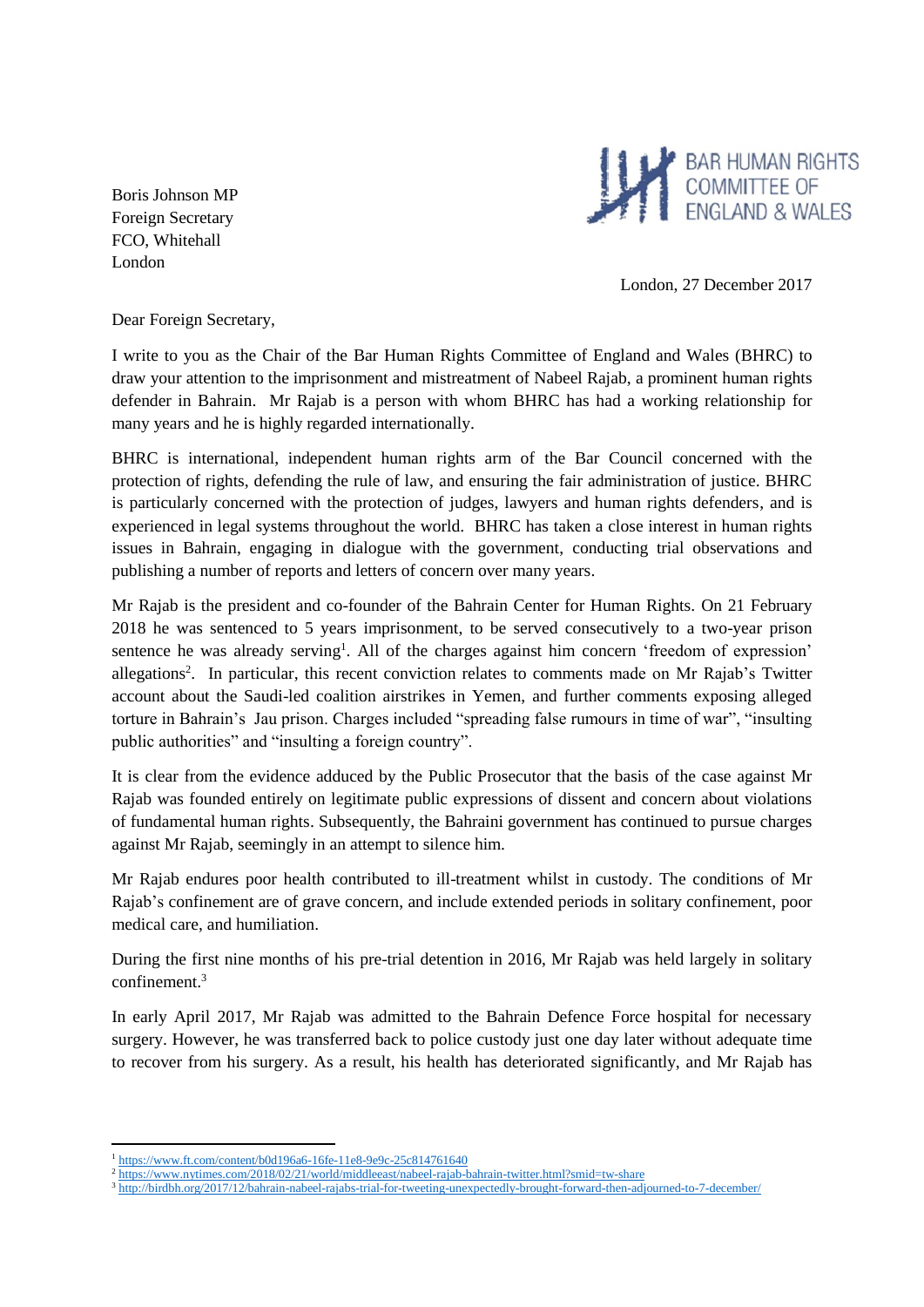Boris Johnson MP Foreign Secretary FCO, Whitehall London



London, 27 December 2017

Dear Foreign Secretary,

I write to you as the Chair of the Bar Human Rights Committee of England and Wales (BHRC) to draw your attention to the imprisonment and mistreatment of Nabeel Rajab, a prominent human rights defender in Bahrain. Mr Rajab is a person with whom BHRC has had a working relationship for many years and he is highly regarded internationally.

BHRC is international, independent human rights arm of the Bar Council concerned with the protection of rights, defending the rule of law, and ensuring the fair administration of justice. BHRC is particularly concerned with the protection of judges, lawyers and human rights defenders, and is experienced in legal systems throughout the world. BHRC has taken a close interest in human rights issues in Bahrain, engaging in dialogue with the government, conducting trial observations and publishing a number of reports and letters of concern over many years.

Mr Rajab is the president and co-founder of the Bahrain Center for Human Rights. On 21 February 2018 he was sentenced to 5 years imprisonment, to be served consecutively to a two-year prison sentence he was already serving<sup>1</sup>. All of the charges against him concern 'freedom of expression' allegations<sup>2</sup>. In particular, this recent conviction relates to comments made on Mr Rajab's Twitter account about the Saudi-led coalition airstrikes in Yemen, and further comments exposing alleged torture in Bahrain's Jau prison. Charges included "spreading false rumours in time of war", "insulting public authorities" and "insulting a foreign country".

It is clear from the evidence adduced by the Public Prosecutor that the basis of the case against Mr Rajab was founded entirely on legitimate public expressions of dissent and concern about violations of fundamental human rights. Subsequently, the Bahraini government has continued to pursue charges against Mr Rajab, seemingly in an attempt to silence him.

Mr Rajab endures poor health contributed to ill-treatment whilst in custody. The conditions of Mr Rajab's confinement are of grave concern, and include extended periods in solitary confinement, poor medical care, and humiliation.

During the first nine months of his pre-trial detention in 2016, Mr Rajab was held largely in solitary confinement.<sup>3</sup>

In early April 2017, Mr Rajab was admitted to the Bahrain Defence Force hospital for necessary surgery. However, he was transferred back to police custody just one day later without adequate time to recover from his surgery. As a result, his health has deteriorated significantly, and Mr Rajab has

1

<sup>1</sup> <https://www.ft.com/content/b0d196a6-16fe-11e8-9e9c-25c814761640>

<sup>&</sup>lt;sup>2</sup> <https://www.nytimes.com/2018/02/21/world/middleeast/nabeel-rajab-bahrain-twitter.html?smid=tw-share>

<sup>3</sup> <http://birdbh.org/2017/12/bahrain-nabeel-rajabs-trial-for-tweeting-unexpectedly-brought-forward-then-adjourned-to-7-december/>